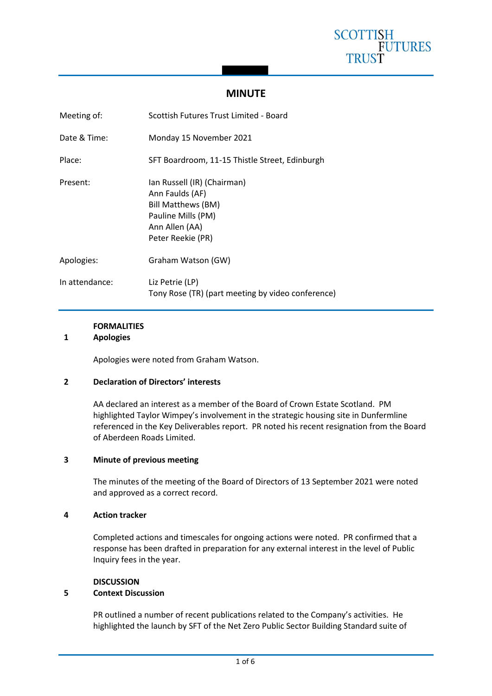

# **MINUTE**

| Meeting of:    | Scottish Futures Trust Limited - Board                                                                                                   |
|----------------|------------------------------------------------------------------------------------------------------------------------------------------|
| Date & Time:   | Monday 15 November 2021                                                                                                                  |
| Place:         | SFT Boardroom, 11-15 Thistle Street, Edinburgh                                                                                           |
| Present:       | lan Russell (IR) (Chairman)<br>Ann Faulds (AF)<br><b>Bill Matthews (BM)</b><br>Pauline Mills (PM)<br>Ann Allen (AA)<br>Peter Reekie (PR) |
| Apologies:     | Graham Watson (GW)                                                                                                                       |
| In attendance: | Liz Petrie (LP)<br>Tony Rose (TR) (part meeting by video conference)                                                                     |

## **FORMALITIES**

#### **1 Apologies**

Apologies were noted from Graham Watson.

### **2 Declaration of Directors' interests**

AA declared an interest as a member of the Board of Crown Estate Scotland. PM highlighted Taylor Wimpey's involvement in the strategic housing site in Dunfermline referenced in the Key Deliverables report. PR noted his recent resignation from the Board of Aberdeen Roads Limited.

#### **3 Minute of previous meeting**

The minutes of the meeting of the Board of Directors of 13 September 2021 were noted and approved as a correct record.

#### **4 Action tracker**

Completed actions and timescales for ongoing actions were noted. PR confirmed that a response has been drafted in preparation for any external interest in the level of Public Inquiry fees in the year.

#### **DISCUSSION**

### **5 Context Discussion**

PR outlined a number of recent publications related to the Company's activities. He highlighted the launch by SFT of the Net Zero Public Sector Building Standard suite of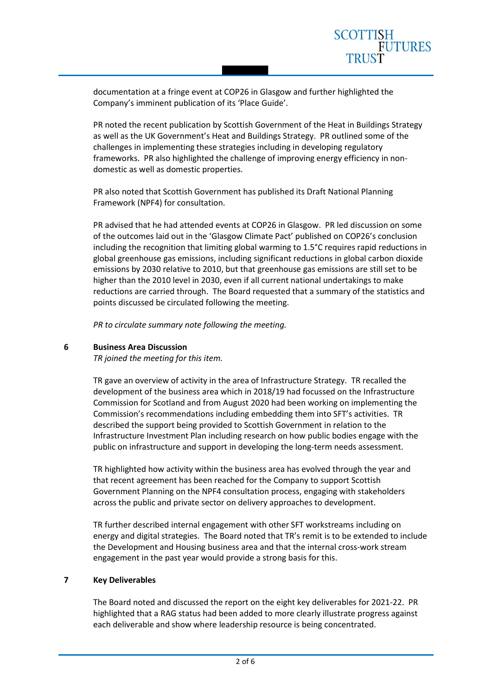documentation at a fringe event at COP26 in Glasgow and further highlighted the Company's imminent publication of its 'Place Guide'.

PR noted the recent publication by Scottish Government of the Heat in Buildings Strategy as well as the UK Government's Heat and Buildings Strategy. PR outlined some of the challenges in implementing these strategies including in developing regulatory frameworks. PR also highlighted the challenge of improving energy efficiency in nondomestic as well as domestic properties.

PR also noted that Scottish Government has published its Draft National Planning Framework (NPF4) for consultation.

PR advised that he had attended events at COP26 in Glasgow. PR led discussion on some of the outcomes laid out in the 'Glasgow Climate Pact' published on COP26's conclusion including the recognition that limiting global warming to 1.5°C requires rapid reductions in global greenhouse gas emissions, including significant reductions in global carbon dioxide emissions by 2030 relative to 2010, but that greenhouse gas emissions are still set to be higher than the 2010 level in 2030, even if all current national undertakings to make reductions are carried through. The Board requested that a summary of the statistics and points discussed be circulated following the meeting.

*PR to circulate summary note following the meeting.*

### **6 Business Area Discussion**

*TR joined the meeting for this item.*

TR gave an overview of activity in the area of Infrastructure Strategy. TR recalled the development of the business area which in 2018/19 had focussed on the Infrastructure Commission for Scotland and from August 2020 had been working on implementing the Commission's recommendations including embedding them into SFT's activities. TR described the support being provided to Scottish Government in relation to the Infrastructure Investment Plan including research on how public bodies engage with the public on infrastructure and support in developing the long-term needs assessment.

TR highlighted how activity within the business area has evolved through the year and that recent agreement has been reached for the Company to support Scottish Government Planning on the NPF4 consultation process, engaging with stakeholders across the public and private sector on delivery approaches to development.

TR further described internal engagement with other SFT workstreams including on energy and digital strategies. The Board noted that TR's remit is to be extended to include the Development and Housing business area and that the internal cross-work stream engagement in the past year would provide a strong basis for this.

### **7 Key Deliverables**

The Board noted and discussed the report on the eight key deliverables for 2021-22. PR highlighted that a RAG status had been added to more clearly illustrate progress against each deliverable and show where leadership resource is being concentrated.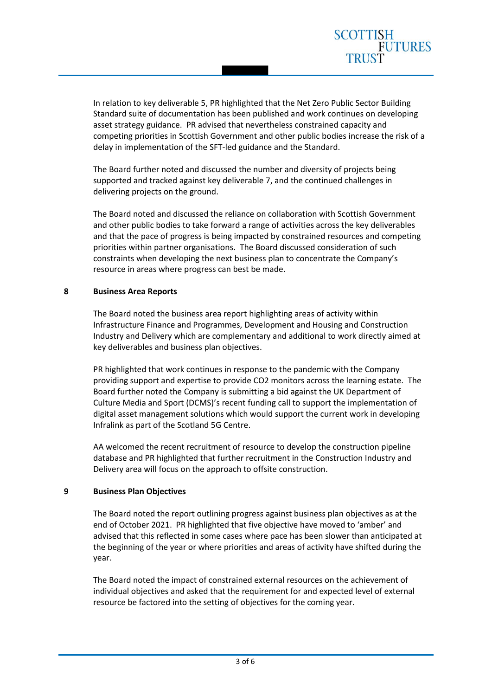In relation to key deliverable 5, PR highlighted that the Net Zero Public Sector Building Standard suite of documentation has been published and work continues on developing asset strategy guidance. PR advised that nevertheless constrained capacity and competing priorities in Scottish Government and other public bodies increase the risk of a delay in implementation of the SFT-led guidance and the Standard.

The Board further noted and discussed the number and diversity of projects being supported and tracked against key deliverable 7, and the continued challenges in delivering projects on the ground.

The Board noted and discussed the reliance on collaboration with Scottish Government and other public bodies to take forward a range of activities across the key deliverables and that the pace of progress is being impacted by constrained resources and competing priorities within partner organisations. The Board discussed consideration of such constraints when developing the next business plan to concentrate the Company's resource in areas where progress can best be made.

## **8 Business Area Reports**

The Board noted the business area report highlighting areas of activity within Infrastructure Finance and Programmes, Development and Housing and Construction Industry and Delivery which are complementary and additional to work directly aimed at key deliverables and business plan objectives.

PR highlighted that work continues in response to the pandemic with the Company providing support and expertise to provide CO2 monitors across the learning estate. The Board further noted the Company is submitting a bid against the UK Department of Culture Media and Sport (DCMS)'s recent funding call to support the implementation of digital asset management solutions which would support the current work in developing Infralink as part of the Scotland 5G Centre.

AA welcomed the recent recruitment of resource to develop the construction pipeline database and PR highlighted that further recruitment in the Construction Industry and Delivery area will focus on the approach to offsite construction.

## **9 Business Plan Objectives**

The Board noted the report outlining progress against business plan objectives as at the end of October 2021. PR highlighted that five objective have moved to 'amber' and advised that this reflected in some cases where pace has been slower than anticipated at the beginning of the year or where priorities and areas of activity have shifted during the year.

The Board noted the impact of constrained external resources on the achievement of individual objectives and asked that the requirement for and expected level of external resource be factored into the setting of objectives for the coming year.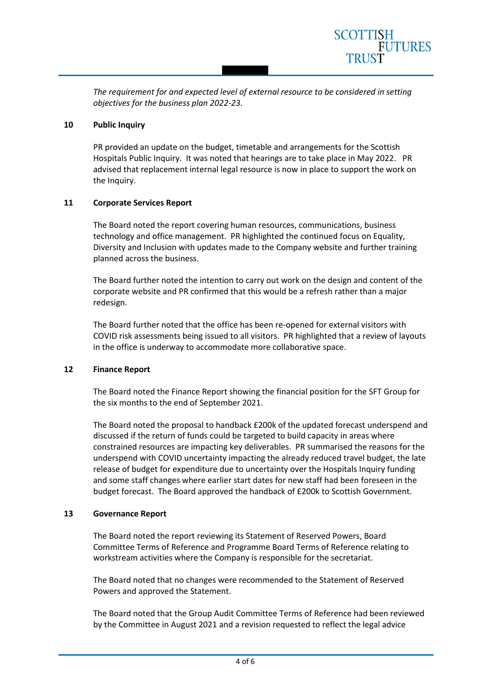*The requirement for and expected level of external resource to be considered in setting objectives for the business plan 2022-23.*

SCOTTISH

**FUTURES** 

#### **10 Public Inquiry**

PR provided an update on the budget, timetable and arrangements for the Scottish Hospitals Public Inquiry. It was noted that hearings are to take place in May 2022. PR advised that replacement internal legal resource is now in place to support the work on the Inquiry.

### **11 Corporate Services Report**

The Board noted the report covering human resources, communications, business technology and office management. PR highlighted the continued focus on Equality, Diversity and Inclusion with updates made to the Company website and further training planned across the business.

The Board further noted the intention to carry out work on the design and content of the corporate website and PR confirmed that this would be a refresh rather than a major redesign.

The Board further noted that the office has been re-opened for external visitors with COVID risk assessments being issued to all visitors. PR highlighted that a review of layouts in the office is underway to accommodate more collaborative space.

#### **12 Finance Report**

The Board noted the Finance Report showing the financial position for the SFT Group for the six months to the end of September 2021.

The Board noted the proposal to handback £200k of the updated forecast underspend and discussed if the return of funds could be targeted to build capacity in areas where constrained resources are impacting key deliverables. PR summarised the reasons for the underspend with COVID uncertainty impacting the already reduced travel budget, the late release of budget for expenditure due to uncertainty over the Hospitals Inquiry funding and some staff changes where earlier start dates for new staff had been foreseen in the budget forecast. The Board approved the handback of £200k to Scottish Government.

#### **13 Governance Report**

The Board noted the report reviewing its Statement of Reserved Powers, Board Committee Terms of Reference and Programme Board Terms of Reference relating to workstream activities where the Company is responsible for the secretariat.

The Board noted that no changes were recommended to the Statement of Reserved Powers and approved the Statement.

The Board noted that the Group Audit Committee Terms of Reference had been reviewed by the Committee in August 2021 and a revision requested to reflect the legal advice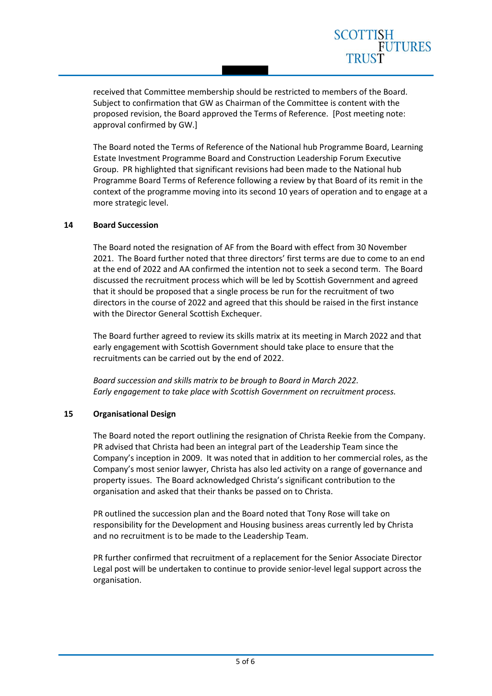received that Committee membership should be restricted to members of the Board. Subject to confirmation that GW as Chairman of the Committee is content with the proposed revision, the Board approved the Terms of Reference. [Post meeting note: approval confirmed by GW.]

SCOTTISH

**FUTURES** 

The Board noted the Terms of Reference of the National hub Programme Board, Learning Estate Investment Programme Board and Construction Leadership Forum Executive Group. PR highlighted that significant revisions had been made to the National hub Programme Board Terms of Reference following a review by that Board of its remit in the context of the programme moving into its second 10 years of operation and to engage at a more strategic level.

## **14 Board Succession**

The Board noted the resignation of AF from the Board with effect from 30 November 2021. The Board further noted that three directors' first terms are due to come to an end at the end of 2022 and AA confirmed the intention not to seek a second term. The Board discussed the recruitment process which will be led by Scottish Government and agreed that it should be proposed that a single process be run for the recruitment of two directors in the course of 2022 and agreed that this should be raised in the first instance with the Director General Scottish Exchequer.

The Board further agreed to review its skills matrix at its meeting in March 2022 and that early engagement with Scottish Government should take place to ensure that the recruitments can be carried out by the end of 2022.

*Board succession and skills matrix to be brough to Board in March 2022. Early engagement to take place with Scottish Government on recruitment process.*

## **15 Organisational Design**

The Board noted the report outlining the resignation of Christa Reekie from the Company. PR advised that Christa had been an integral part of the Leadership Team since the Company's inception in 2009. It was noted that in addition to her commercial roles, as the Company's most senior lawyer, Christa has also led activity on a range of governance and property issues. The Board acknowledged Christa's significant contribution to the organisation and asked that their thanks be passed on to Christa.

PR outlined the succession plan and the Board noted that Tony Rose will take on responsibility for the Development and Housing business areas currently led by Christa and no recruitment is to be made to the Leadership Team.

PR further confirmed that recruitment of a replacement for the Senior Associate Director Legal post will be undertaken to continue to provide senior-level legal support across the organisation.